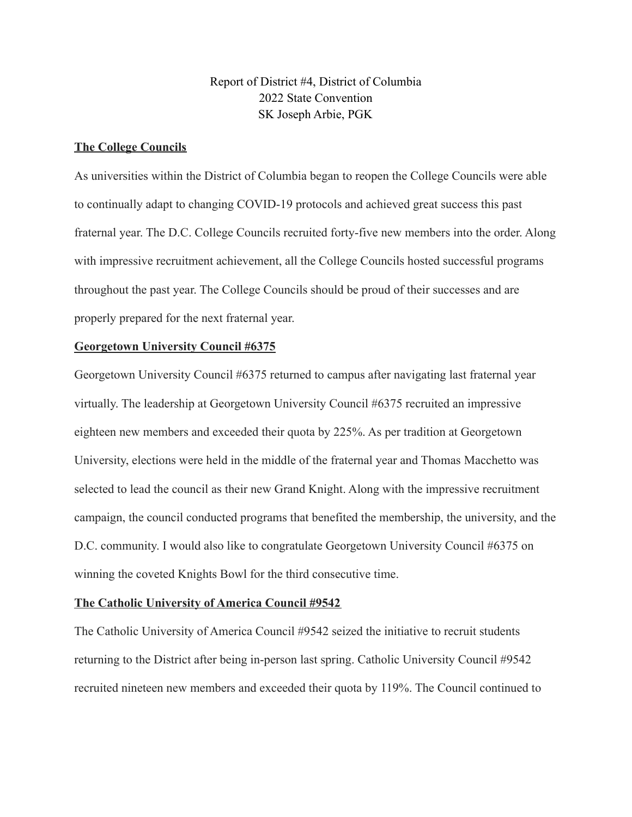Report of District #4, District of Columbia 2022 State Convention SK Joseph Arbie, PGK

# **The College Councils**

As universities within the District of Columbia began to reopen the College Councils were able to continually adapt to changing COVID-19 protocols and achieved great success this past fraternal year. The D.C. College Councils recruited forty-five new members into the order. Along with impressive recruitment achievement, all the College Councils hosted successful programs throughout the past year. The College Councils should be proud of their successes and are properly prepared for the next fraternal year.

## **Georgetown University Council #6375**

Georgetown University Council #6375 returned to campus after navigating last fraternal year virtually. The leadership at Georgetown University Council #6375 recruited an impressive eighteen new members and exceeded their quota by 225%. As per tradition at Georgetown University, elections were held in the middle of the fraternal year and Thomas Macchetto was selected to lead the council as their new Grand Knight. Along with the impressive recruitment campaign, the council conducted programs that benefited the membership, the university, and the D.C. community. I would also like to congratulate Georgetown University Council #6375 on winning the coveted Knights Bowl for the third consecutive time.

### **The Catholic University of America Council #9542**

The Catholic University of America Council #9542 seized the initiative to recruit students returning to the District after being in-person last spring. Catholic University Council #9542 recruited nineteen new members and exceeded their quota by 119%. The Council continued to